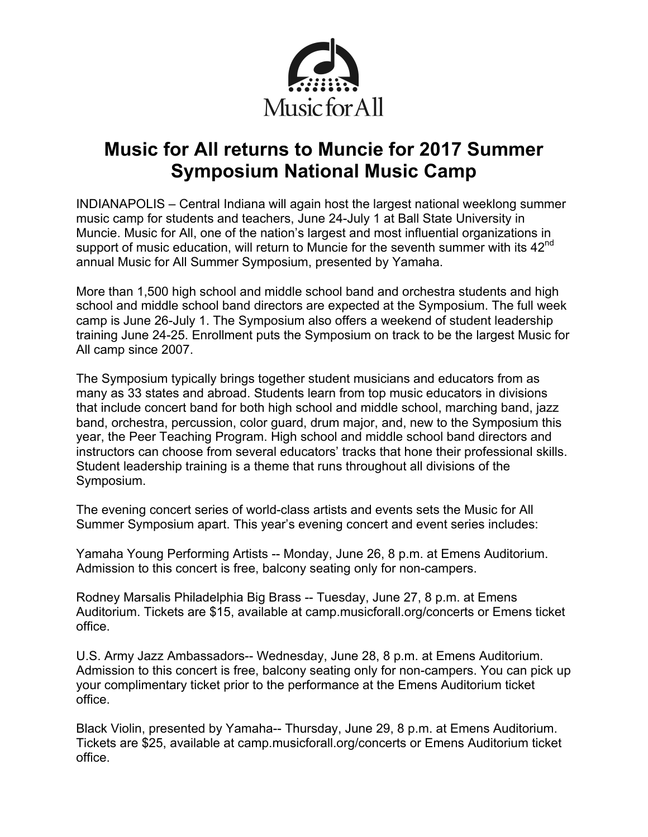

## **Music for All returns to Muncie for 2017 Summer Symposium National Music Camp**

INDIANAPOLIS – Central Indiana will again host the largest national weeklong summer music camp for students and teachers, June 24-July 1 at Ball State University in Muncie. Music for All, one of the nation's largest and most influential organizations in support of music education, will return to Muncie for the seventh summer with its  $42^{nd}$ annual Music for All Summer Symposium, presented by Yamaha.

More than 1,500 high school and middle school band and orchestra students and high school and middle school band directors are expected at the Symposium. The full week camp is June 26-July 1. The Symposium also offers a weekend of student leadership training June 24-25. Enrollment puts the Symposium on track to be the largest Music for All camp since 2007.

The Symposium typically brings together student musicians and educators from as many as 33 states and abroad. Students learn from top music educators in divisions that include concert band for both high school and middle school, marching band, jazz band, orchestra, percussion, color guard, drum major, and, new to the Symposium this year, the Peer Teaching Program. High school and middle school band directors and instructors can choose from several educators' tracks that hone their professional skills. Student leadership training is a theme that runs throughout all divisions of the Symposium.

The evening concert series of world-class artists and events sets the Music for All Summer Symposium apart. This year's evening concert and event series includes:

Yamaha Young Performing Artists -- Monday, June 26, 8 p.m. at Emens Auditorium. Admission to this concert is free, balcony seating only for non-campers.

Rodney Marsalis Philadelphia Big Brass -- Tuesday, June 27, 8 p.m. at Emens Auditorium. Tickets are \$15, available at camp.musicforall.org/concerts or Emens ticket office.

U.S. Army Jazz Ambassadors-- Wednesday, June 28, 8 p.m. at Emens Auditorium. Admission to this concert is free, balcony seating only for non-campers. You can pick up your complimentary ticket prior to the performance at the Emens Auditorium ticket office.

Black Violin, presented by Yamaha-- Thursday, June 29, 8 p.m. at Emens Auditorium. Tickets are \$25, available at camp.musicforall.org/concerts or Emens Auditorium ticket office.